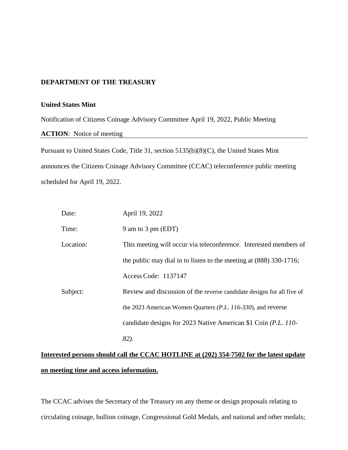## **DEPARTMENT OF THE TREASURY**

## **United States Mint**

Notification of Citizens Coinage Advisory Committee April 19, 2022, Public Meeting

**ACTION**: Notice of meeting

Pursuant to United States Code, Title 31, section 5135(b)(8)(C), the United States Mint announces the Citizens Coinage Advisory Committee (CCAC) teleconference public meeting scheduled for April 19, 2022.

| Date:     | April 19, 2022                                                         |
|-----------|------------------------------------------------------------------------|
| Time:     | 9 am to 3 pm (EDT)                                                     |
| Location: | This meeting will occur via teleconference. Interested members of      |
|           | the public may dial in to listen to the meeting at $(888)$ 330-1716;   |
|           | Access Code: 1137147                                                   |
| Subject:  | Review and discussion of the reverse candidate designs for all five of |
|           | the 2023 American Women Quarters ( <i>P.L. 116-330</i> ), and reverse  |
|           | candidate designs for 2023 Native American \$1 Coin (P.L. 110-         |
|           | 82).                                                                   |

## **Interested persons should call the CCAC HOTLINE at (202) 354-7502 for the latest update on meeting time and access information.**

The CCAC advises the Secretary of the Treasury on any theme or design proposals relating to circulating coinage, bullion coinage, Congressional Gold Medals, and national and other medals;